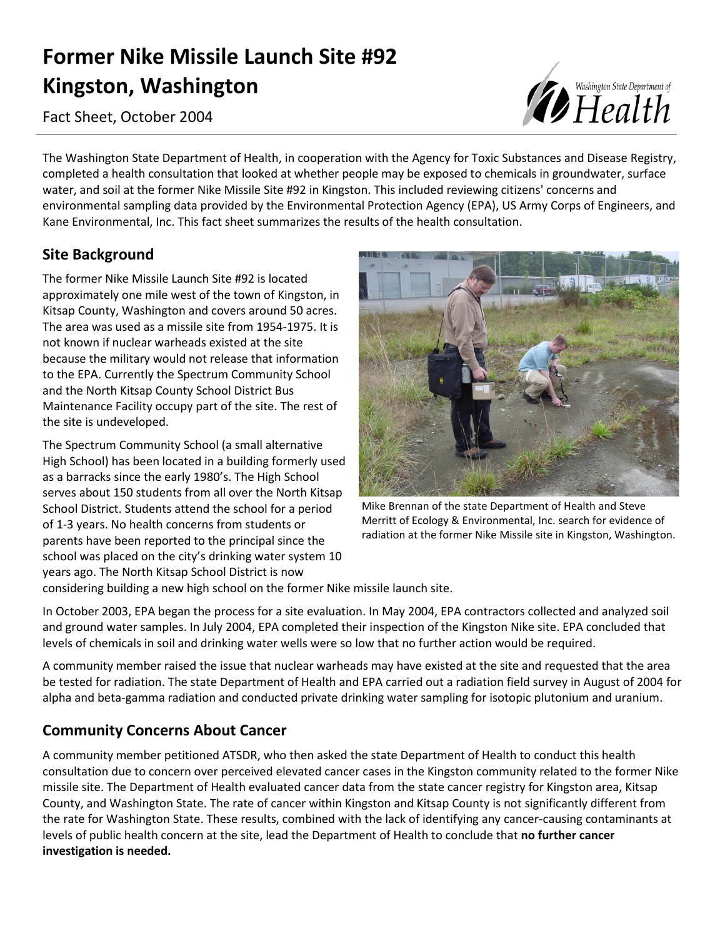# **Former Nike Missile Launch Site #92 Kingston, Washington**

Fact Sheet, October 2004

The Washington State Department of Health, in cooperation with the Agency for Toxic Substances and Disease Registry, completed a health consultation that looked at whether people may be exposed to chemicals in groundwater, surface water, and soil at the former Nike Missile Site #92 in Kingston. This included reviewing citizens' concerns and environmental sampling data provided by the Environmental Protection Agency (EPA), US Army Corps of Engineers, and Kane Environmental, Inc. This fact sheet summarizes the results of the health consultation.

## **Site Background**

The former Nike Missile Launch Site #92 is located approximately one mile west of the town of Kingston, in Kitsap County, Washington and covers around 50 acres. The area was used as a missile site from 1954-1975. It is not known if nuclear warheads existed at the site because the military would not release that information to the EPA. Currently the Spectrum Community School and the North Kitsap County School District Bus Maintenance Facility occupy part of the site. The rest of the site is undeveloped.

The Spectrum Community School (a small alternative High School) has been located in a building formerly used as a barracks since the early 1980's. The High School serves about 150 students from all over the North Kitsap School District. Students attend the school for a period of 1-3 years. No health concerns from students or parents have been reported to the principal since the school was placed on the city's drinking water system 10 years ago. The North Kitsap School District is now



Mike Brennan of the state Department of Health and Steve Merritt of Ecology & Environmental, Inc. search for evidence of radiation at the former Nike Missile site in Kingston, Washington.

considering building a new high school on the former Nike missile launch site.

In October 2003, EPA began the process for a site evaluation. In May 2004, EPA contractors collected and analyzed soil and ground water samples. In July 2004, EPA completed their inspection of the Kingston Nike site. EPA concluded that levels of chemicals in soil and drinking water wells were so low that no further action would be required.

A community member raised the issue that nuclear warheads may have existed at the site and requested that the area be tested for radiation. The state Department of Health and EPA carried out a radiation field survey in August of 2004 for alpha and beta-gamma radiation and conducted private drinking water sampling for isotopic plutonium and uranium.

## **Community Concerns About Cancer**

A community member petitioned ATSDR, who then asked the state Department of Health to conduct this health consultation due to concern over perceived elevated cancer cases in the Kingston community related to the former Nike missile site. The Department of Health evaluated cancer data from the state cancer registry for Kingston area, Kitsap County, and Washington State. The rate of cancer within Kingston and Kitsap County is not significantly different from the rate for Washington State. These results, combined with the lack of identifying any cancer-causing contaminants at levels of public health concern at the site, lead the Department of Health to conclude that **no further cancer investigation is needed.**